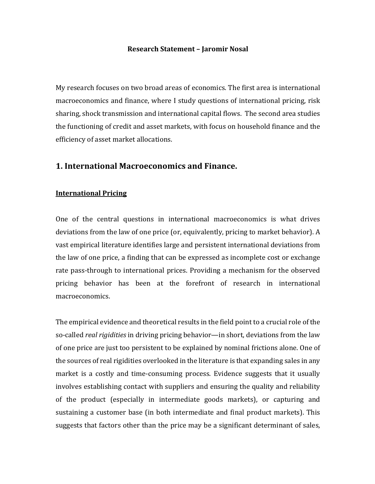#### **Research Statement – Jaromir Nosal**

My research focuses on two broad areas of economics. The first area is international macroeconomics and finance, where I study questions of international pricing, risk sharing, shock transmission and international capital flows. The second area studies the functioning of credit and asset markets, with focus on household finance and the efficiency of asset market allocations.

# **1. International Macroeconomics and Finance.**

### **International Pricing**

One of the central questions in international macroeconomics is what drives deviations from the law of one price (or, equivalently, pricing to market behavior). A vast empirical literature identifies large and persistent international deviations from the law of one price, a finding that can be expressed as incomplete cost or exchange rate pass-through to international prices. Providing a mechanism for the observed pricing behavior has been at the forefront of research in international macroeconomics. 

The empirical evidence and theoretical results in the field point to a crucial role of the so-called *real rigidities* in driving pricing behavior—in short, deviations from the law of one price are just too persistent to be explained by nominal frictions alone. One of the sources of real rigidities overlooked in the literature is that expanding sales in any market is a costly and time-consuming process. Evidence suggests that it usually involves establishing contact with suppliers and ensuring the quality and reliability of the product (especially in intermediate goods markets), or capturing and sustaining a customer base (in both intermediate and final product markets). This suggests that factors other than the price may be a significant determinant of sales,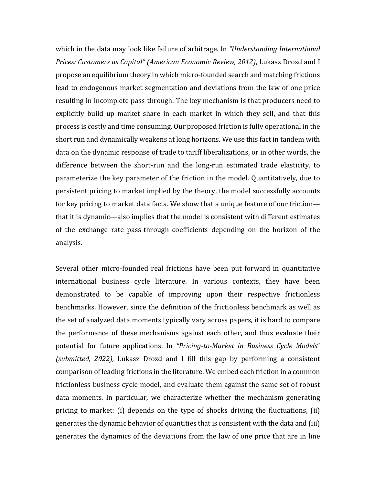which in the data may look like failure of arbitrage. In *"Understanding International Prices: Customers as Capital" (American Economic Review, 2012)*, Lukasz Drozd and I propose an equilibrium theory in which micro-founded search and matching frictions lead to endogenous market segmentation and deviations from the law of one price resulting in incomplete pass-through. The key mechanism is that producers need to explicitly build up market share in each market in which they sell, and that this process is costly and time consuming. Our proposed friction is fully operational in the short run and dynamically weakens at long horizons. We use this fact in tandem with data on the dynamic response of trade to tariff liberalizations, or in other words, the difference between the short-run and the long-run estimated trade elasticity, to parameterize the key parameter of the friction in the model. Quantitatively, due to persistent pricing to market implied by the theory, the model successfully accounts for key pricing to market data facts. We show that a unique feature of our friction that it is dynamic—also implies that the model is consistent with different estimates of the exchange rate pass-through coefficients depending on the horizon of the analysis.

Several other micro-founded real frictions have been put forward in quantitative international business cycle literature. In various contexts, they have been demonstrated to be capable of improving upon their respective frictionless benchmarks. However, since the definition of the frictionless benchmark as well as the set of analyzed data moments typically vary across papers, it is hard to compare the performance of these mechanisms against each other, and thus evaluate their potential for future applications. In "Pricing-to-Market in Business Cycle Models" *(submitted, 2022),* Lukasz Drozd and I fill this gap by performing a consistent comparison of leading frictions in the literature. We embed each friction in a common frictionless business cycle model, and evaluate them against the same set of robust data moments. In particular, we characterize whether the mechanism generating pricing to market: (i) depends on the type of shocks driving the fluctuations, (ii) generates the dynamic behavior of quantities that is consistent with the data and (iii) generates the dynamics of the deviations from the law of one price that are in line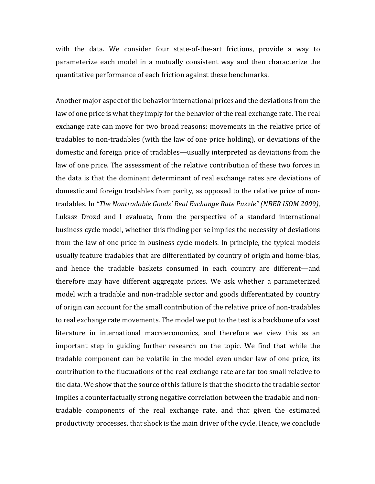with the data. We consider four state-of-the-art frictions, provide a way to parameterize each model in a mutually consistent way and then characterize the quantitative performance of each friction against these benchmarks.

Another major aspect of the behavior international prices and the deviations from the law of one price is what they imply for the behavior of the real exchange rate. The real exchange rate can move for two broad reasons: movements in the relative price of tradables to non-tradables (with the law of one price holding), or deviations of the domestic and foreign price of tradables—usually interpreted as deviations from the law of one price. The assessment of the relative contribution of these two forces in the data is that the dominant determinant of real exchange rates are deviations of domestic and foreign tradables from parity, as opposed to the relative price of nontradables. In "The Nontradable Goods' Real Exchange Rate Puzzle" (NBER ISOM 2009), Lukasz Drozd and I evaluate, from the perspective of a standard international business cycle model, whether this finding per se implies the necessity of deviations from the law of one price in business cycle models. In principle, the typical models usually feature tradables that are differentiated by country of origin and home-bias, and hence the tradable baskets consumed in each country are different—and therefore may have different aggregate prices. We ask whether a parameterized model with a tradable and non-tradable sector and goods differentiated by country of origin can account for the small contribution of the relative price of non-tradables to real exchange rate movements. The model we put to the test is a backbone of a vast literature in international macroeconomics, and therefore we view this as an important step in guiding further research on the topic. We find that while the tradable component can be volatile in the model even under law of one price, its contribution to the fluctuations of the real exchange rate are far too small relative to the data. We show that the source of this failure is that the shock to the tradable sector implies a counterfactually strong negative correlation between the tradable and nontradable components of the real exchange rate, and that given the estimated productivity processes, that shock is the main driver of the cycle. Hence, we conclude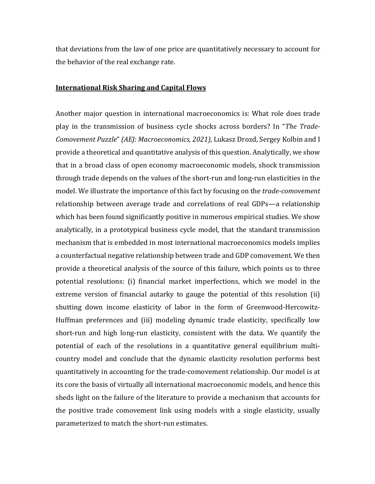that deviations from the law of one price are quantitatively necessary to account for the behavior of the real exchange rate.

### **International Risk Sharing and Capital Flows**

Another major question in international macroeconomics is: What role does trade play in the transmission of business cycle shocks across borders? In "*The Trade-Comovement Puzzle" (AEJ: Macroeconomics, 2021), Lukasz Drozd, Sergey Kolbin and I* provide a theoretical and quantitative analysis of this question. Analytically, we show that in a broad class of open economy macroeconomic models, shock transmission through trade depends on the values of the short-run and long-run elasticities in the model. We illustrate the importance of this fact by focusing on the *trade-comovement* relationship between average trade and correlations of real GDPs—a relationship which has been found significantly positive in numerous empirical studies. We show analytically, in a prototypical business cycle model, that the standard transmission mechanism that is embedded in most international macroeconomics models implies a counterfactual negative relationship between trade and GDP comovement. We then provide a theoretical analysis of the source of this failure, which points us to three potential resolutions: (i) financial market imperfections, which we model in the extreme version of financial autarky to gauge the potential of this resolution (ii) shutting down income elasticity of labor in the form of Greenwood-Hercowitz-Huffman preferences and (iii) modeling dynamic trade elasticity, specifically low short-run and high long-run elasticity, consistent with the data. We quantify the potential of each of the resolutions in a quantitative general equilibrium multicountry model and conclude that the dynamic elasticity resolution performs best quantitatively in accounting for the trade-comovement relationship. Our model is at its core the basis of virtually all international macroeconomic models, and hence this sheds light on the failure of the literature to provide a mechanism that accounts for the positive trade comovement link using models with a single elasticity, usually parameterized to match the short-run estimates.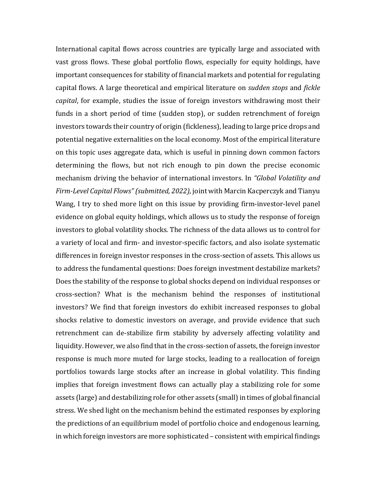International capital flows across countries are typically large and associated with vast gross flows. These global portfolio flows, especially for equity holdings, have important consequences for stability of financial markets and potential for regulating capital flows. A large theoretical and empirical literature on *sudden stops* and *fickle capital*, for example, studies the issue of foreign investors withdrawing most their funds in a short period of time (sudden stop), or sudden retrenchment of foreign investors towards their country of origin (fickleness), leading to large price drops and potential negative externalities on the local economy. Most of the empirical literature on this topic uses aggregate data, which is useful in pinning down common factors determining the flows, but not rich enough to pin down the precise economic mechanism driving the behavior of international investors. In "Global Volatility and *Firm-Level Capital Flows" (submitted, 2022)*, joint with Marcin Kacperczyk and Tianyu Wang, I try to shed more light on this issue by providing firm-investor-level panel evidence on global equity holdings, which allows us to study the response of foreign investors to global volatility shocks. The richness of the data allows us to control for a variety of local and firm- and investor-specific factors, and also isolate systematic differences in foreign investor responses in the cross-section of assets. This allows us to address the fundamental questions: Does foreign investment destabilize markets? Does the stability of the response to global shocks depend on individual responses or cross-section? What is the mechanism behind the responses of institutional investors? We find that foreign investors do exhibit increased responses to global shocks relative to domestic investors on average, and provide evidence that such retrenchment can de-stabilize firm stability by adversely affecting volatility and liquidity. However, we also find that in the cross-section of assets, the foreign investor response is much more muted for large stocks, leading to a reallocation of foreign portfolios towards large stocks after an increase in global volatility. This finding implies that foreign investment flows can actually play a stabilizing role for some assets (large) and destabilizing role for other assets (small) in times of global financial stress. We shed light on the mechanism behind the estimated responses by exploring the predictions of an equilibrium model of portfolio choice and endogenous learning, in which foreign investors are more sophisticated - consistent with empirical findings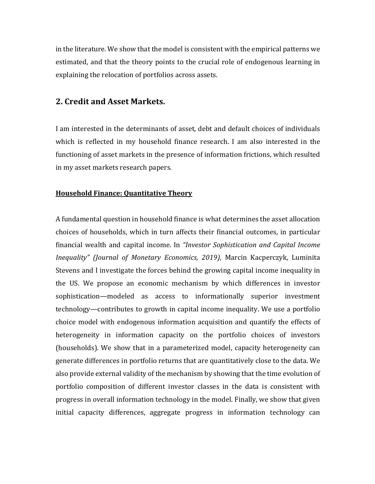in the literature. We show that the model is consistent with the empirical patterns we estimated, and that the theory points to the crucial role of endogenous learning in explaining the relocation of portfolios across assets.

# **2. Credit and Asset Markets.**

I am interested in the determinants of asset, debt and default choices of individuals which is reflected in my household finance research. I am also interested in the functioning of asset markets in the presence of information frictions, which resulted in my asset markets research papers.

### **Household Finance: Quantitative Theory**

A fundamental question in household finance is what determines the asset allocation choices of households, which in turn affects their financial outcomes, in particular financial wealth and capital income. In *"Investor Sophistication and Capital Income Inequality" (Journal of Monetary Economics, 2019)*, Marcin Kacperczyk, Luminita Stevens and I investigate the forces behind the growing capital income inequality in the US. We propose an economic mechanism by which differences in investor sophistication—modeled as access to informationally superior investment technology—contributes to growth in capital income inequality. We use a portfolio choice model with endogenous information acquisition and quantify the effects of heterogeneity in information capacity on the portfolio choices of investors (households). We show that in a parameterized model, capacity heterogeneity can generate differences in portfolio returns that are quantitatively close to the data. We also provide external validity of the mechanism by showing that the time evolution of portfolio composition of different investor classes in the data is consistent with progress in overall information technology in the model. Finally, we show that given initial capacity differences, aggregate progress in information technology can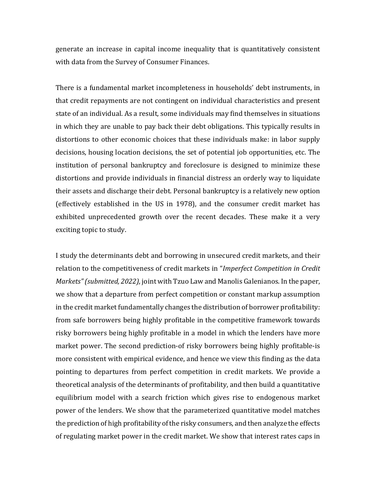generate an increase in capital income inequality that is quantitatively consistent with data from the Survey of Consumer Finances.

There is a fundamental market incompleteness in households' debt instruments, in that credit repayments are not contingent on individual characteristics and present state of an individual. As a result, some individuals may find themselves in situations in which they are unable to pay back their debt obligations. This typically results in distortions to other economic choices that these individuals make: in labor supply decisions, housing location decisions, the set of potential job opportunities, etc. The institution of personal bankruptcy and foreclosure is designed to minimize these distortions and provide individuals in financial distress an orderly way to liquidate their assets and discharge their debt. Personal bankruptcy is a relatively new option (effectively established in the US in 1978), and the consumer credit market has exhibited unprecedented growth over the recent decades. These make it a very exciting topic to study.

I study the determinants debt and borrowing in unsecured credit markets, and their relation to the competitiveness of credit markets in "*Imperfect Competition in Credit Markets"* (*submitted, 2022*), joint with Tzuo Law and Manolis Galenianos. In the paper, we show that a departure from perfect competition or constant markup assumption in the credit market fundamentally changes the distribution of borrower profitability: from safe borrowers being highly profitable in the competitive framework towards risky borrowers being highly profitable in a model in which the lenders have more market power. The second prediction-of risky borrowers being highly profitable-is more consistent with empirical evidence, and hence we view this finding as the data pointing to departures from perfect competition in credit markets. We provide a theoretical analysis of the determinants of profitability, and then build a quantitative equilibrium model with a search friction which gives rise to endogenous market power of the lenders. We show that the parameterized quantitative model matches the prediction of high profitability of the risky consumers, and then analyze the effects of regulating market power in the credit market. We show that interest rates caps in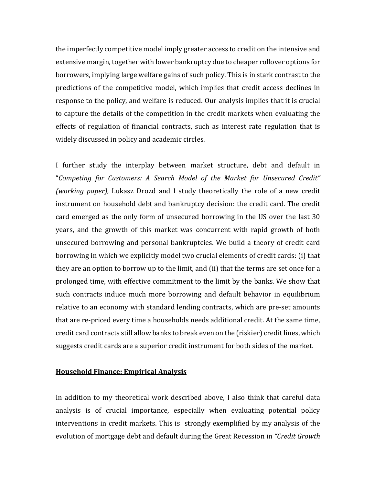the imperfectly competitive model imply greater access to credit on the intensive and extensive margin, together with lower bankruptcy due to cheaper rollover options for borrowers, implying large welfare gains of such policy. This is in stark contrast to the predictions of the competitive model, which implies that credit access declines in response to the policy, and welfare is reduced. Our analysis implies that it is crucial to capture the details of the competition in the credit markets when evaluating the effects of regulation of financial contracts, such as interest rate regulation that is widely discussed in policy and academic circles.

I further study the interplay between market structure, debt and default in "Competing for Customers: A Search Model of the Market for Unsecured Credit" *(working paper),* Lukasz Drozd and I study theoretically the role of a new credit instrument on household debt and bankruptcy decision: the credit card. The credit card emerged as the only form of unsecured borrowing in the US over the last 30 years, and the growth of this market was concurrent with rapid growth of both unsecured borrowing and personal bankruptcies. We build a theory of credit card borrowing in which we explicitly model two crucial elements of credit cards: (i) that they are an option to borrow up to the limit, and (ii) that the terms are set once for a prolonged time, with effective commitment to the limit by the banks. We show that such contracts induce much more borrowing and default behavior in equilibrium relative to an economy with standard lending contracts, which are pre-set amounts that are re-priced every time a households needs additional credit. At the same time, credit card contracts still allow banks to break even on the (riskier) credit lines, which suggests credit cards are a superior credit instrument for both sides of the market.

### **Household Finance: Empirical Analysis**

In addition to my theoretical work described above, I also think that careful data analysis is of crucial importance, especially when evaluating potential policy interventions in credit markets. This is strongly exemplified by my analysis of the evolution of mortgage debt and default during the Great Recession in "Credit Growth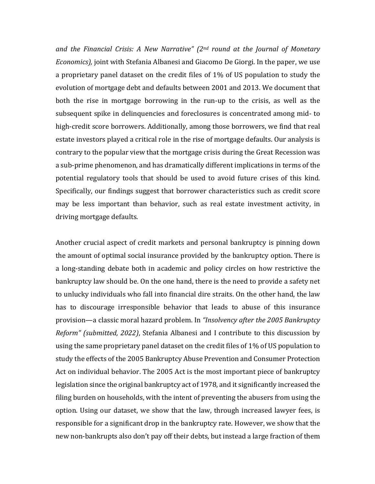*and the Financial Crisis: A New Narrative" (2<sup>nd</sup> round at the Journal of Monetary Economics*), joint with Stefania Albanesi and Giacomo De Giorgi. In the paper, we use a proprietary panel dataset on the credit files of 1% of US population to study the evolution of mortgage debt and defaults between 2001 and 2013. We document that both the rise in mortgage borrowing in the run-up to the crisis, as well as the subsequent spike in delinquencies and foreclosures is concentrated among mid- to high-credit score borrowers. Additionally, among those borrowers, we find that real estate investors played a critical role in the rise of mortgage defaults. Our analysis is contrary to the popular view that the mortgage crisis during the Great Recession was a sub-prime phenomenon, and has dramatically different implications in terms of the potential regulatory tools that should be used to avoid future crises of this kind. Specifically, our findings suggest that borrower characteristics such as credit score may be less important than behavior, such as real estate investment activity, in driving mortgage defaults.

Another crucial aspect of credit markets and personal bankruptcy is pinning down the amount of optimal social insurance provided by the bankruptcy option. There is a long-standing debate both in academic and policy circles on how restrictive the bankruptcy law should be. On the one hand, there is the need to provide a safety net to unlucky individuals who fall into financial dire straits. On the other hand, the law has to discourage irresponsible behavior that leads to abuse of this insurance provision—a classic moral hazard problem. In *"Insolvency after the 2005 Bankruptcy Reform" (submitted, 2022)*, Stefania Albanesi and I contribute to this discussion by using the same proprietary panel dataset on the credit files of 1% of US population to study the effects of the 2005 Bankruptcy Abuse Prevention and Consumer Protection Act on individual behavior. The 2005 Act is the most important piece of bankruptcy legislation since the original bankruptcy act of 1978, and it significantly increased the filing burden on households, with the intent of preventing the abusers from using the option. Using our dataset, we show that the law, through increased lawyer fees, is responsible for a significant drop in the bankruptcy rate. However, we show that the new non-bankrupts also don't pay off their debts, but instead a large fraction of them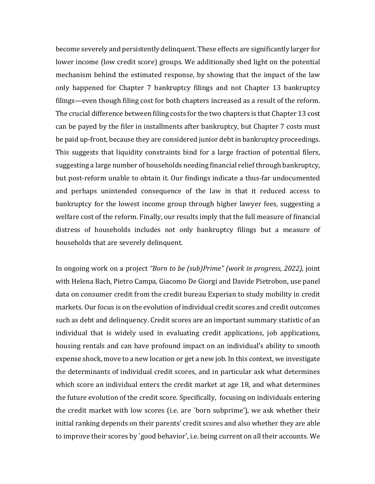become severely and persistently delinquent. These effects are significantly larger for lower income (low credit score) groups. We additionally shed light on the potential mechanism behind the estimated response, by showing that the impact of the law only happened for Chapter 7 bankruptcy filings and not Chapter 13 bankruptcy filings—even though filing cost for both chapters increased as a result of the reform. The crucial difference between filing costs for the two chapters is that Chapter 13 cost can be payed by the filer in installments after bankruptcy, but Chapter 7 costs must be paid up-front, because they are considered junior debt in bankruptcy proceedings. This suggests that liquidity constraints bind for a large fraction of potential filers, suggesting a large number of households needing financial relief through bankruptcy, but post-reform unable to obtain it. Our findings indicate a thus-far undocumented and perhaps unintended consequence of the law in that it reduced access to bankruptcy for the lowest income group through higher lawyer fees, suggesting a welfare cost of the reform. Finally, our results imply that the full measure of financial distress of households includes not only bankruptcy filings but a measure of households that are severely delinquent.

In ongoing work on a project "Born to be (sub)Prime" (work in progress, 2022), joint with Helena Bach, Pietro Campa, Giacomo De Giorgi and Davide Pietrobon, use panel data on consumer credit from the credit bureau Experian to study mobility in credit markets. Our focus is on the evolution of individual credit scores and credit outcomes such as debt and delinquency. Credit scores are an important summary statistic of an individual that is widely used in evaluating credit applications, job applications, housing rentals and can have profound impact on an individual's ability to smooth expense shock, move to a new location or get a new job. In this context, we investigate the determinants of individual credit scores, and in particular ask what determines which score an individual enters the credit market at age 18, and what determines the future evolution of the credit score. Specifically, focusing on individuals entering the credit market with low scores (i.e. are `born subprime'), we ask whether their initial ranking depends on their parents' credit scores and also whether they are able to improve their scores by `good behavior', i.e. being current on all their accounts. We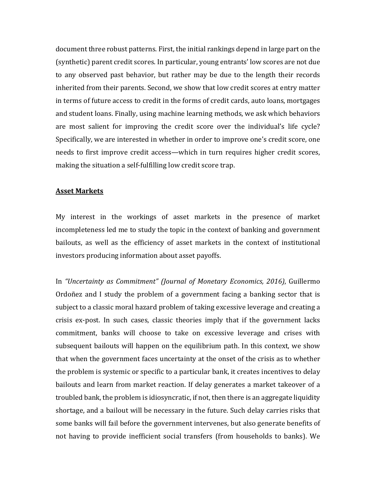document three robust patterns. First, the initial rankings depend in large part on the (synthetic) parent credit scores. In particular, young entrants' low scores are not due to any observed past behavior, but rather may be due to the length their records inherited from their parents. Second, we show that low credit scores at entry matter in terms of future access to credit in the forms of credit cards, auto loans, mortgages and student loans. Finally, using machine learning methods, we ask which behaviors are most salient for improving the credit score over the individual's life cycle? Specifically, we are interested in whether in order to improve one's credit score, one needs to first improve credit access—which in turn requires higher credit scores, making the situation a self-fulfilling low credit score trap.

### **Asset Markets**

My interest in the workings of asset markets in the presence of market incompleteness led me to study the topic in the context of banking and government bailouts, as well as the efficiency of asset markets in the context of institutional investors producing information about asset payoffs.

In "Uncertainty as Commitment" *(Journal of Monetary Economics, 2016)*, Guillermo Ordoñez and I study the problem of a government facing a banking sector that is subject to a classic moral hazard problem of taking excessive leverage and creating a crisis ex-post. In such cases, classic theories imply that if the government lacks commitment, banks will choose to take on excessive leverage and crises with subsequent bailouts will happen on the equilibrium path. In this context, we show that when the government faces uncertainty at the onset of the crisis as to whether the problem is systemic or specific to a particular bank, it creates incentives to delay bailouts and learn from market reaction. If delay generates a market takeover of a troubled bank, the problem is idiosyncratic, if not, then there is an aggregate liquidity shortage, and a bailout will be necessary in the future. Such delay carries risks that some banks will fail before the government intervenes, but also generate benefits of not having to provide inefficient social transfers (from households to banks). We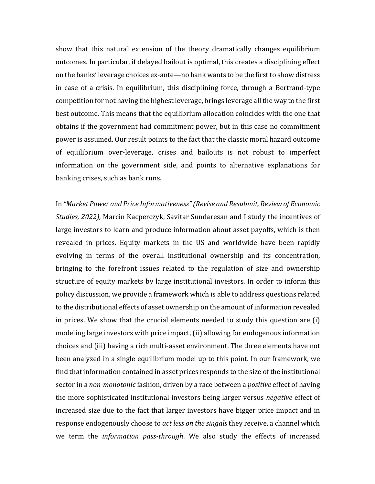show that this natural extension of the theory dramatically changes equilibrium outcomes. In particular, if delayed bailout is optimal, this creates a disciplining effect on the banks' leverage choices ex-ante—no bank wants to be the first to show distress in case of a crisis. In equilibrium, this disciplining force, through a Bertrand-type competition for not having the highest leverage, brings leverage all the way to the first best outcome. This means that the equilibrium allocation coincides with the one that obtains if the government had commitment power, but in this case no commitment power is assumed. Our result points to the fact that the classic moral hazard outcome of equilibrium over-leverage, crises and bailouts is not robust to imperfect information on the government side, and points to alternative explanations for banking crises, such as bank runs.

In "Market Power and Price Informativeness" (Revise and Resubmit, Review of Economic *Studies, 2022),* Marcin Kacperczyk, Savitar Sundaresan and I study the incentives of large investors to learn and produce information about asset payoffs, which is then revealed in prices. Equity markets in the US and worldwide have been rapidly evolving in terms of the overall institutional ownership and its concentration, bringing to the forefront issues related to the regulation of size and ownership structure of equity markets by large institutional investors. In order to inform this policy discussion, we provide a framework which is able to address questions related to the distributional effects of asset ownership on the amount of information revealed in prices. We show that the crucial elements needed to study this question are (i) modeling large investors with price impact, (ii) allowing for endogenous information choices and (iii) having a rich multi-asset environment. The three elements have not been analyzed in a single equilibrium model up to this point. In our framework, we find that information contained in asset prices responds to the size of the institutional sector in a *non-monotonic* fashion, driven by a race between a *positive* effect of having the more sophisticated institutional investors being larger versus *negative* effect of increased size due to the fact that larger investors have bigger price impact and in response endogenously choose to *act less on the singals* they receive, a channel which we term the *information pass-through*. We also study the effects of increased